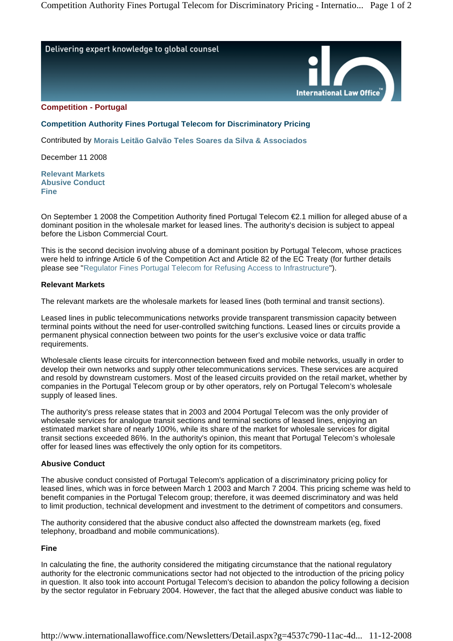

**Competition - Portugal** 

**Competition Authority Fines Portugal Telecom for Discriminatory Pricing** 

Contributed by **Morais Leitão Galvão Teles Soares da Silva & Associados** 

December 11 2008

**Relevant Markets Abusive Conduct Fine**

On September 1 2008 the Competition Authority fined Portugal Telecom €2.1 million for alleged abuse of a dominant position in the wholesale market for leased lines. The authority's decision is subject to appeal before the Lisbon Commercial Court.

This is the second decision involving abuse of a dominant position by Portugal Telecom, whose practices were held to infringe Article 6 of the Competition Act and Article 82 of the EC Treaty (for further details please see "Regulator Fines Portugal Telecom for Refusing Access to Infrastructure").

### **Relevant Markets**

The relevant markets are the wholesale markets for leased lines (both terminal and transit sections).

Leased lines in public telecommunications networks provide transparent transmission capacity between terminal points without the need for user-controlled switching functions. Leased lines or circuits provide a permanent physical connection between two points for the user's exclusive voice or data traffic requirements.

Wholesale clients lease circuits for interconnection between fixed and mobile networks, usually in order to develop their own networks and supply other telecommunications services. These services are acquired and resold by downstream customers. Most of the leased circuits provided on the retail market, whether by companies in the Portugal Telecom group or by other operators, rely on Portugal Telecom's wholesale supply of leased lines.

The authority's press release states that in 2003 and 2004 Portugal Telecom was the only provider of wholesale services for analogue transit sections and terminal sections of leased lines, enjoying an estimated market share of nearly 100%, while its share of the market for wholesale services for digital transit sections exceeded 86%. In the authority's opinion, this meant that Portugal Telecom's wholesale offer for leased lines was effectively the only option for its competitors.

### **Abusive Conduct**

The abusive conduct consisted of Portugal Telecom's application of a discriminatory pricing policy for leased lines, which was in force between March 1 2003 and March 7 2004. This pricing scheme was held to benefit companies in the Portugal Telecom group; therefore, it was deemed discriminatory and was held to limit production, technical development and investment to the detriment of competitors and consumers.

The authority considered that the abusive conduct also affected the downstream markets (eg, fixed telephony, broadband and mobile communications).

# **Fine**

In calculating the fine, the authority considered the mitigating circumstance that the national regulatory authority for the electronic communications sector had not objected to the introduction of the pricing policy in question. It also took into account Portugal Telecom's decision to abandon the policy following a decision by the sector regulator in February 2004. However, the fact that the alleged abusive conduct was liable to